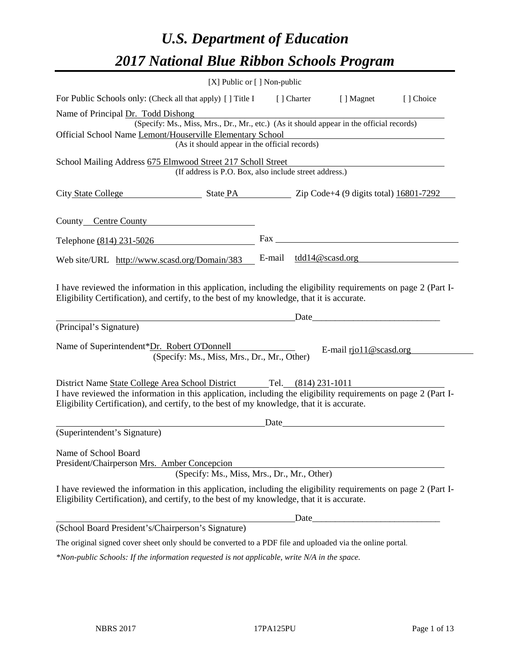# *U.S. Department of Education 2017 National Blue Ribbon Schools Program*

| [X] Public or [] Non-public                                                                                                                                                                                  |             |                                                                                                                                                                                                                                |           |
|--------------------------------------------------------------------------------------------------------------------------------------------------------------------------------------------------------------|-------------|--------------------------------------------------------------------------------------------------------------------------------------------------------------------------------------------------------------------------------|-----------|
| For Public Schools only: (Check all that apply) [ ] Title I                                                                                                                                                  | [ ] Charter | [ ] Magnet                                                                                                                                                                                                                     | [] Choice |
| Name of Principal Dr. Todd Dishong                                                                                                                                                                           |             |                                                                                                                                                                                                                                |           |
| (Specify: Ms., Miss, Mrs., Dr., Mr., etc.) (As it should appear in the official records)                                                                                                                     |             |                                                                                                                                                                                                                                |           |
| Official School Name Lemont/Houserville Elementary School                                                                                                                                                    |             |                                                                                                                                                                                                                                |           |
| (As it should appear in the official records)                                                                                                                                                                |             |                                                                                                                                                                                                                                |           |
| School Mailing Address 675 Elmwood Street 217 Scholl Street                                                                                                                                                  |             |                                                                                                                                                                                                                                |           |
| (If address is P.O. Box, also include street address.)                                                                                                                                                       |             |                                                                                                                                                                                                                                |           |
| City State College State PA 2ip Code+4 (9 digits total) 16801-7292                                                                                                                                           |             |                                                                                                                                                                                                                                |           |
| County Centre County                                                                                                                                                                                         |             |                                                                                                                                                                                                                                |           |
| Telephone (814) 231-5026                                                                                                                                                                                     |             |                                                                                                                                                                                                                                |           |
| Web site/URL http://www.scasd.org/Domain/383                                                                                                                                                                 |             | E-mail tdd14@scasd.org                                                                                                                                                                                                         |           |
| I have reviewed the information in this application, including the eligibility requirements on page 2 (Part I-<br>Eligibility Certification), and certify, to the best of my knowledge, that it is accurate. |             | Date and the contract of the contract of the contract of the contract of the contract of the contract of the contract of the contract of the contract of the contract of the contract of the contract of the contract of the c |           |
| (Principal's Signature)                                                                                                                                                                                      |             |                                                                                                                                                                                                                                |           |
| Name of Superintendent*Dr. Robert O'Donnell<br>(Specify: Ms., Miss, Mrs., Dr., Mr., Other)                                                                                                                   |             | E-mail $\text{riol1@scasd.org}$                                                                                                                                                                                                |           |
| District Name State College Area School District Tel. (814) 231-1011                                                                                                                                         |             |                                                                                                                                                                                                                                |           |
| I have reviewed the information in this application, including the eligibility requirements on page 2 (Part I-<br>Eligibility Certification), and certify, to the best of my knowledge, that it is accurate. |             |                                                                                                                                                                                                                                |           |
|                                                                                                                                                                                                              |             | Date and the contract of the contract of the contract of the contract of the contract of the contract of the contract of the contract of the contract of the contract of the contract of the contract of the contract of the c |           |
| (Superintendent's Signature)                                                                                                                                                                                 |             |                                                                                                                                                                                                                                |           |
| Name of School Board<br>President/Chairperson Mrs. Amber Concepcion<br>(Specify: Ms., Miss, Mrs., Dr., Mr., Other)                                                                                           |             |                                                                                                                                                                                                                                |           |
| I have reviewed the information in this application, including the eligibility requirements on page 2 (Part I-<br>Eligibility Certification), and certify, to the best of my knowledge, that it is accurate. |             |                                                                                                                                                                                                                                |           |
|                                                                                                                                                                                                              | Date        |                                                                                                                                                                                                                                |           |
| (School Board President's/Chairperson's Signature)                                                                                                                                                           |             |                                                                                                                                                                                                                                |           |
| The original signed cover sheet only should be converted to a PDF file and uploaded via the online portal.                                                                                                   |             |                                                                                                                                                                                                                                |           |

*\*Non-public Schools: If the information requested is not applicable, write N/A in the space.*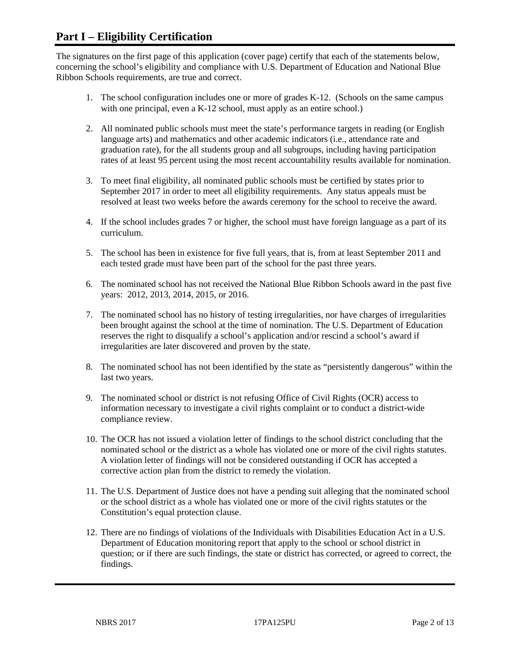## **Part I – Eligibility Certification**

The signatures on the first page of this application (cover page) certify that each of the statements below, concerning the school's eligibility and compliance with U.S. Department of Education and National Blue Ribbon Schools requirements, are true and correct.

- 1. The school configuration includes one or more of grades K-12. (Schools on the same campus with one principal, even a K-12 school, must apply as an entire school.)
- 2. All nominated public schools must meet the state's performance targets in reading (or English language arts) and mathematics and other academic indicators (i.e., attendance rate and graduation rate), for the all students group and all subgroups, including having participation rates of at least 95 percent using the most recent accountability results available for nomination.
- 3. To meet final eligibility, all nominated public schools must be certified by states prior to September 2017 in order to meet all eligibility requirements. Any status appeals must be resolved at least two weeks before the awards ceremony for the school to receive the award.
- 4. If the school includes grades 7 or higher, the school must have foreign language as a part of its curriculum.
- 5. The school has been in existence for five full years, that is, from at least September 2011 and each tested grade must have been part of the school for the past three years.
- 6. The nominated school has not received the National Blue Ribbon Schools award in the past five years: 2012, 2013, 2014, 2015, or 2016.
- 7. The nominated school has no history of testing irregularities, nor have charges of irregularities been brought against the school at the time of nomination. The U.S. Department of Education reserves the right to disqualify a school's application and/or rescind a school's award if irregularities are later discovered and proven by the state.
- 8. The nominated school has not been identified by the state as "persistently dangerous" within the last two years.
- 9. The nominated school or district is not refusing Office of Civil Rights (OCR) access to information necessary to investigate a civil rights complaint or to conduct a district-wide compliance review.
- 10. The OCR has not issued a violation letter of findings to the school district concluding that the nominated school or the district as a whole has violated one or more of the civil rights statutes. A violation letter of findings will not be considered outstanding if OCR has accepted a corrective action plan from the district to remedy the violation.
- 11. The U.S. Department of Justice does not have a pending suit alleging that the nominated school or the school district as a whole has violated one or more of the civil rights statutes or the Constitution's equal protection clause.
- 12. There are no findings of violations of the Individuals with Disabilities Education Act in a U.S. Department of Education monitoring report that apply to the school or school district in question; or if there are such findings, the state or district has corrected, or agreed to correct, the findings.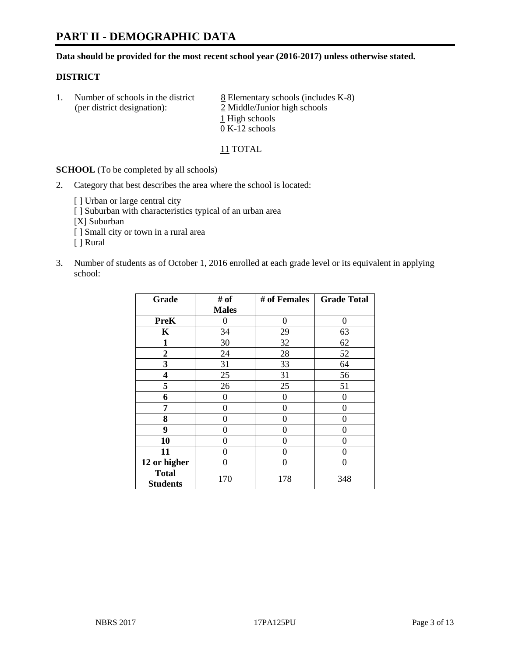# **PART II - DEMOGRAPHIC DATA**

**Data should be provided for the most recent school year (2016-2017) unless otherwise stated.** 

#### **DISTRICT**

1. Number of schools in the district  $8$  Elementary schools (includes K-8) (per district designation): 2 Middle/Junior high schools 1 High schools 0 K-12 schools

11 TOTAL

**SCHOOL** (To be completed by all schools)

2. Category that best describes the area where the school is located:

[] Urban or large central city

[ ] Suburban with characteristics typical of an urban area

[X] Suburban

[ ] Small city or town in a rural area

[ ] Rural

3. Number of students as of October 1, 2016 enrolled at each grade level or its equivalent in applying school:

| Grade                           | # of         | # of Females | <b>Grade Total</b> |
|---------------------------------|--------------|--------------|--------------------|
|                                 | <b>Males</b> |              |                    |
| <b>PreK</b>                     | 0            | $\Omega$     | 0                  |
| K                               | 34           | 29           | 63                 |
| 1                               | 30           | 32           | 62                 |
| $\overline{2}$                  | 24           | 28           | 52                 |
| 3                               | 31           | 33           | 64                 |
| 4                               | 25           | 31           | 56                 |
| 5                               | 26           | 25           | 51                 |
| 6                               | 0            | 0            | 0                  |
| 7                               | 0            | 0            | 0                  |
| 8                               | 0            | 0            | 0                  |
| 9                               | 0            | 0            | 0                  |
| 10                              | 0            | 0            | 0                  |
| 11                              | 0            | 0            | 0                  |
| 12 or higher                    | 0            | 0            | 0                  |
| <b>Total</b><br><b>Students</b> | 170          | 178          | 348                |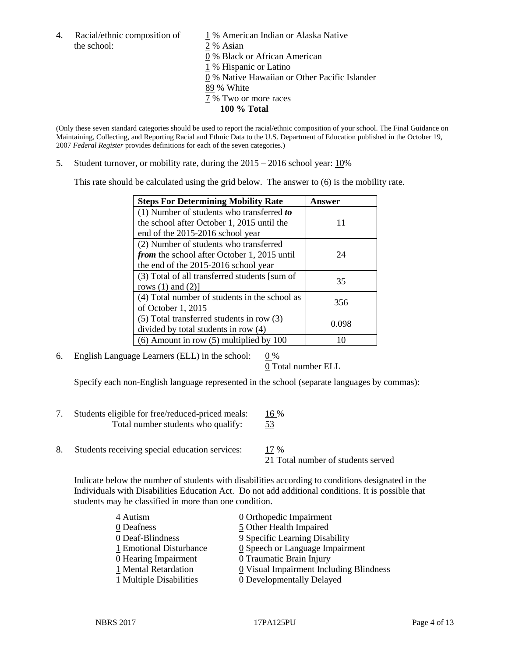4. Racial/ethnic composition of  $1\%$  American Indian or Alaska Native the school: 2 % Asian

 % Black or African American % Hispanic or Latino % Native Hawaiian or Other Pacific Islander 89 % White % Two or more races **100 % Total**

(Only these seven standard categories should be used to report the racial/ethnic composition of your school. The Final Guidance on Maintaining, Collecting, and Reporting Racial and Ethnic Data to the U.S. Department of Education published in the October 19, 2007 *Federal Register* provides definitions for each of the seven categories.)

5. Student turnover, or mobility rate, during the 2015 – 2016 school year: 10%

This rate should be calculated using the grid below. The answer to (6) is the mobility rate.

| <b>Steps For Determining Mobility Rate</b>         | Answer |
|----------------------------------------------------|--------|
| (1) Number of students who transferred to          |        |
| the school after October 1, 2015 until the         | 11     |
| end of the 2015-2016 school year                   |        |
| (2) Number of students who transferred             |        |
| <i>from</i> the school after October 1, 2015 until | 24     |
| the end of the 2015-2016 school year               |        |
| (3) Total of all transferred students [sum of      | 35     |
| rows $(1)$ and $(2)$ ]                             |        |
| (4) Total number of students in the school as      | 356    |
| of October 1, 2015                                 |        |
| (5) Total transferred students in row (3)          |        |
| divided by total students in row (4)               | 0.098  |
| $(6)$ Amount in row $(5)$ multiplied by 100        |        |

6. English Language Learners (ELL) in the school:  $0\%$ 

0 Total number ELL

Specify each non-English language represented in the school (separate languages by commas):

- 7. Students eligible for free/reduced-priced meals: 16 % Total number students who qualify: 53
- 8. Students receiving special education services: 17 %

21 Total number of students served

Indicate below the number of students with disabilities according to conditions designated in the Individuals with Disabilities Education Act. Do not add additional conditions. It is possible that students may be classified in more than one condition.

| 4 Autism                | 0 Orthopedic Impairment                       |
|-------------------------|-----------------------------------------------|
| 0 Deafness              | 5 Other Health Impaired                       |
| 0 Deaf-Blindness        | 9 Specific Learning Disability                |
| 1 Emotional Disturbance | $\underline{0}$ Speech or Language Impairment |
| 0 Hearing Impairment    | 0 Traumatic Brain Injury                      |
| 1 Mental Retardation    | 0 Visual Impairment Including Blindness       |
| 1 Multiple Disabilities | <b>0</b> Developmentally Delayed              |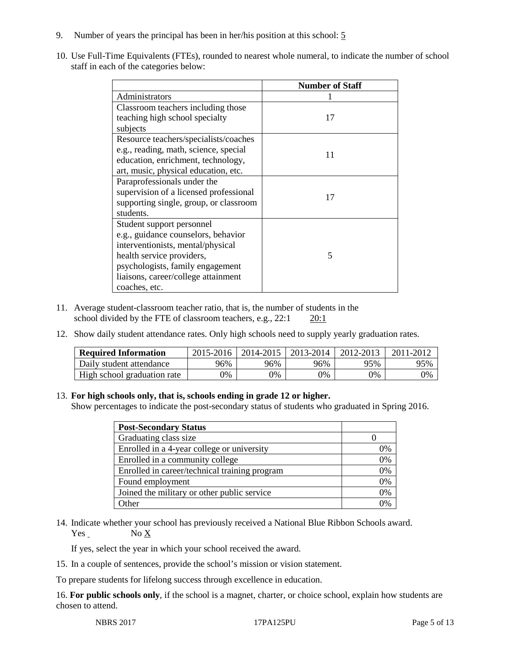- 9. Number of years the principal has been in her/his position at this school: 5
- 10. Use Full-Time Equivalents (FTEs), rounded to nearest whole numeral, to indicate the number of school staff in each of the categories below:

|                                        | <b>Number of Staff</b> |
|----------------------------------------|------------------------|
| Administrators                         |                        |
| Classroom teachers including those     |                        |
| teaching high school specialty         | 17                     |
| subjects                               |                        |
| Resource teachers/specialists/coaches  |                        |
| e.g., reading, math, science, special  | 11                     |
| education, enrichment, technology,     |                        |
| art, music, physical education, etc.   |                        |
| Paraprofessionals under the            |                        |
| supervision of a licensed professional | 17                     |
| supporting single, group, or classroom |                        |
| students.                              |                        |
| Student support personnel              |                        |
| e.g., guidance counselors, behavior    |                        |
| interventionists, mental/physical      |                        |
| health service providers,              | 5                      |
| psychologists, family engagement       |                        |
| liaisons, career/college attainment    |                        |
| coaches, etc.                          |                        |

- 11. Average student-classroom teacher ratio, that is, the number of students in the school divided by the FTE of classroom teachers, e.g., 22:1 20:1
- 12. Show daily student attendance rates. Only high schools need to supply yearly graduation rates.

| <b>Required Information</b> | 2015-2016 | 2014-2015 | 2013-2014 | 2012-2013 |     |
|-----------------------------|-----------|-----------|-----------|-----------|-----|
| Daily student attendance    | 96%       | 96%       | 96%       | 95%       | 95% |
| High school graduation rate | 0%        | 0%        | 0%        | 9%        | 0%  |

#### 13. **For high schools only, that is, schools ending in grade 12 or higher.**

Show percentages to indicate the post-secondary status of students who graduated in Spring 2016.

| <b>Post-Secondary Status</b>                  |    |
|-----------------------------------------------|----|
| Graduating class size                         |    |
| Enrolled in a 4-year college or university    | 0% |
| Enrolled in a community college               | 0% |
| Enrolled in career/technical training program | 0% |
| Found employment                              | 0% |
| Joined the military or other public service   | 0% |
| )ther                                         |    |

14. Indicate whether your school has previously received a National Blue Ribbon Schools award.  $Yes$  No  $X$ 

If yes, select the year in which your school received the award.

15. In a couple of sentences, provide the school's mission or vision statement.

To prepare students for lifelong success through excellence in education.

16. **For public schools only**, if the school is a magnet, charter, or choice school, explain how students are chosen to attend.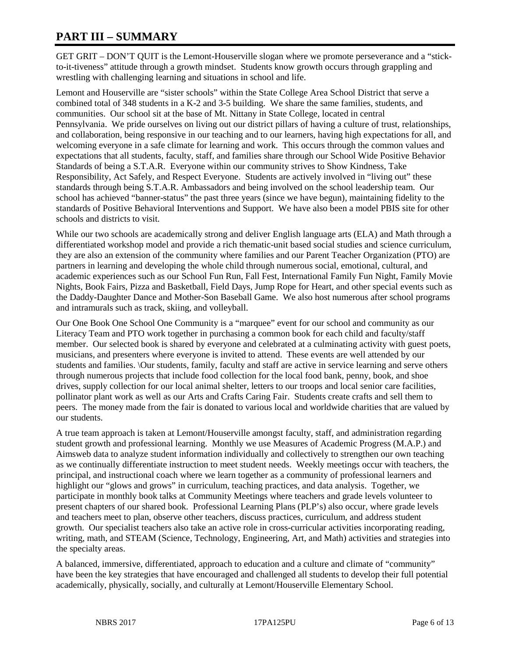# **PART III – SUMMARY**

GET GRIT – DON'T QUIT is the Lemont-Houserville slogan where we promote perseverance and a "stickto-it-tiveness" attitude through a growth mindset. Students know growth occurs through grappling and wrestling with challenging learning and situations in school and life.

Lemont and Houserville are "sister schools" within the State College Area School District that serve a combined total of 348 students in a K-2 and 3-5 building. We share the same families, students, and communities. Our school sit at the base of Mt. Nittany in State College, located in central Pennsylvania. We pride ourselves on living out our district pillars of having a culture of trust, relationships, and collaboration, being responsive in our teaching and to our learners, having high expectations for all, and welcoming everyone in a safe climate for learning and work. This occurs through the common values and expectations that all students, faculty, staff, and families share through our School Wide Positive Behavior Standards of being a S.T.A.R. Everyone within our community strives to Show Kindness, Take Responsibility, Act Safely, and Respect Everyone. Students are actively involved in "living out" these standards through being S.T.A.R. Ambassadors and being involved on the school leadership team. Our school has achieved "banner-status" the past three years (since we have begun), maintaining fidelity to the standards of Positive Behavioral Interventions and Support. We have also been a model PBIS site for other schools and districts to visit.

While our two schools are academically strong and deliver English language arts (ELA) and Math through a differentiated workshop model and provide a rich thematic-unit based social studies and science curriculum, they are also an extension of the community where families and our Parent Teacher Organization (PTO) are partners in learning and developing the whole child through numerous social, emotional, cultural, and academic experiences such as our School Fun Run, Fall Fest, International Family Fun Night, Family Movie Nights, Book Fairs, Pizza and Basketball, Field Days, Jump Rope for Heart, and other special events such as the Daddy-Daughter Dance and Mother-Son Baseball Game. We also host numerous after school programs and intramurals such as track, skiing, and volleyball.

Our One Book One School One Community is a "marquee" event for our school and community as our Literacy Team and PTO work together in purchasing a common book for each child and faculty/staff member. Our selected book is shared by everyone and celebrated at a culminating activity with guest poets, musicians, and presenters where everyone is invited to attend. These events are well attended by our students and families. \Our students, family, faculty and staff are active in service learning and serve others through numerous projects that include food collection for the local food bank, penny, book, and shoe drives, supply collection for our local animal shelter, letters to our troops and local senior care facilities, pollinator plant work as well as our Arts and Crafts Caring Fair. Students create crafts and sell them to peers. The money made from the fair is donated to various local and worldwide charities that are valued by our students.

A true team approach is taken at Lemont/Houserville amongst faculty, staff, and administration regarding student growth and professional learning. Monthly we use Measures of Academic Progress (M.A.P.) and Aimsweb data to analyze student information individually and collectively to strengthen our own teaching as we continually differentiate instruction to meet student needs. Weekly meetings occur with teachers, the principal, and instructional coach where we learn together as a community of professional learners and highlight our "glows and grows" in curriculum, teaching practices, and data analysis. Together, we participate in monthly book talks at Community Meetings where teachers and grade levels volunteer to present chapters of our shared book. Professional Learning Plans (PLP's) also occur, where grade levels and teachers meet to plan, observe other teachers, discuss practices, curriculum, and address student growth. Our specialist teachers also take an active role in cross-curricular activities incorporating reading, writing, math, and STEAM (Science, Technology, Engineering, Art, and Math) activities and strategies into the specialty areas.

A balanced, immersive, differentiated, approach to education and a culture and climate of "community" have been the key strategies that have encouraged and challenged all students to develop their full potential academically, physically, socially, and culturally at Lemont/Houserville Elementary School.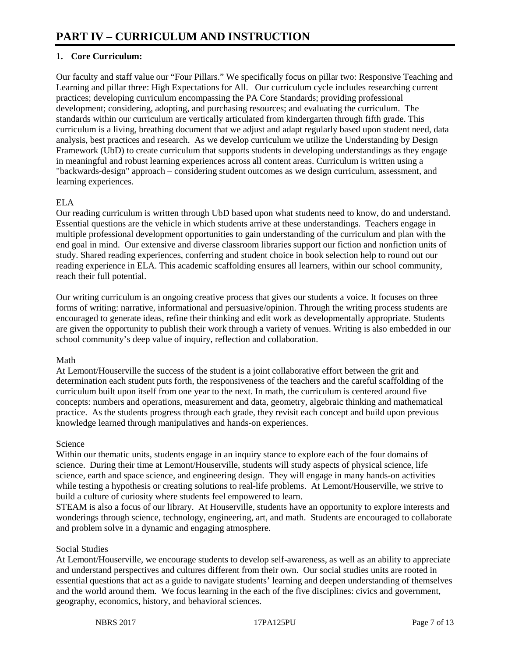## **1. Core Curriculum:**

Our faculty and staff value our "Four Pillars." We specifically focus on pillar two: Responsive Teaching and Learning and pillar three: High Expectations for All. Our curriculum cycle includes researching current practices; developing curriculum encompassing the PA Core Standards; providing professional development; considering, adopting, and purchasing resources; and evaluating the curriculum. The standards within our curriculum are vertically articulated from kindergarten through fifth grade. This curriculum is a living, breathing document that we adjust and adapt regularly based upon student need, data analysis, best practices and research. As we develop curriculum we utilize the Understanding by Design Framework (UbD) to create curriculum that supports students in developing understandings as they engage in meaningful and robust learning experiences across all content areas. Curriculum is written using a "backwards-design" approach – considering student outcomes as we design curriculum, assessment, and learning experiences.

## ELA

Our reading curriculum is written through UbD based upon what students need to know, do and understand. Essential questions are the vehicle in which students arrive at these understandings. Teachers engage in multiple professional development opportunities to gain understanding of the curriculum and plan with the end goal in mind. Our extensive and diverse classroom libraries support our fiction and nonfiction units of study. Shared reading experiences, conferring and student choice in book selection help to round out our reading experience in ELA. This academic scaffolding ensures all learners, within our school community, reach their full potential.

Our writing curriculum is an ongoing creative process that gives our students a voice. It focuses on three forms of writing: narrative, informational and persuasive/opinion. Through the writing process students are encouraged to generate ideas, refine their thinking and edit work as developmentally appropriate. Students are given the opportunity to publish their work through a variety of venues. Writing is also embedded in our school community's deep value of inquiry, reflection and collaboration.

#### Math

At Lemont/Houserville the success of the student is a joint collaborative effort between the grit and determination each student puts forth, the responsiveness of the teachers and the careful scaffolding of the curriculum built upon itself from one year to the next. In math, the curriculum is centered around five concepts: numbers and operations, measurement and data, geometry, algebraic thinking and mathematical practice. As the students progress through each grade, they revisit each concept and build upon previous knowledge learned through manipulatives and hands-on experiences.

#### Science

Within our thematic units, students engage in an inquiry stance to explore each of the four domains of science. During their time at Lemont/Houserville, students will study aspects of physical science, life science, earth and space science, and engineering design. They will engage in many hands-on activities while testing a hypothesis or creating solutions to real-life problems. At Lemont/Houserville, we strive to build a culture of curiosity where students feel empowered to learn.

STEAM is also a focus of our library. At Houserville, students have an opportunity to explore interests and wonderings through science, technology, engineering, art, and math. Students are encouraged to collaborate and problem solve in a dynamic and engaging atmosphere.

#### Social Studies

At Lemont/Houserville, we encourage students to develop self-awareness, as well as an ability to appreciate and understand perspectives and cultures different from their own. Our social studies units are rooted in essential questions that act as a guide to navigate students' learning and deepen understanding of themselves and the world around them. We focus learning in the each of the five disciplines: civics and government, geography, economics, history, and behavioral sciences.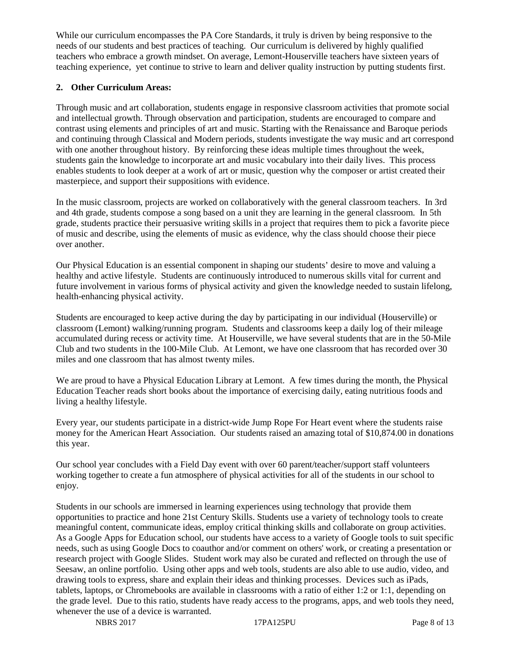While our curriculum encompasses the PA Core Standards, it truly is driven by being responsive to the needs of our students and best practices of teaching. Our curriculum is delivered by highly qualified teachers who embrace a growth mindset. On average, Lemont-Houserville teachers have sixteen years of teaching experience, yet continue to strive to learn and deliver quality instruction by putting students first.

## **2. Other Curriculum Areas:**

Through music and art collaboration, students engage in responsive classroom activities that promote social and intellectual growth. Through observation and participation, students are encouraged to compare and contrast using elements and principles of art and music. Starting with the Renaissance and Baroque periods and continuing through Classical and Modern periods, students investigate the way music and art correspond with one another throughout history. By reinforcing these ideas multiple times throughout the week, students gain the knowledge to incorporate art and music vocabulary into their daily lives. This process enables students to look deeper at a work of art or music, question why the composer or artist created their masterpiece, and support their suppositions with evidence.

In the music classroom, projects are worked on collaboratively with the general classroom teachers. In 3rd and 4th grade, students compose a song based on a unit they are learning in the general classroom. In 5th grade, students practice their persuasive writing skills in a project that requires them to pick a favorite piece of music and describe, using the elements of music as evidence, why the class should choose their piece over another.

Our Physical Education is an essential component in shaping our students' desire to move and valuing a healthy and active lifestyle. Students are continuously introduced to numerous skills vital for current and future involvement in various forms of physical activity and given the knowledge needed to sustain lifelong, health-enhancing physical activity.

Students are encouraged to keep active during the day by participating in our individual (Houserville) or classroom (Lemont) walking/running program. Students and classrooms keep a daily log of their mileage accumulated during recess or activity time. At Houserville, we have several students that are in the 50-Mile Club and two students in the 100-Mile Club. At Lemont, we have one classroom that has recorded over 30 miles and one classroom that has almost twenty miles.

We are proud to have a Physical Education Library at Lemont. A few times during the month, the Physical Education Teacher reads short books about the importance of exercising daily, eating nutritious foods and living a healthy lifestyle.

Every year, our students participate in a district-wide Jump Rope For Heart event where the students raise money for the American Heart Association. Our students raised an amazing total of \$10,874.00 in donations this year.

Our school year concludes with a Field Day event with over 60 parent/teacher/support staff volunteers working together to create a fun atmosphere of physical activities for all of the students in our school to enjoy.

Students in our schools are immersed in learning experiences using technology that provide them opportunities to practice and hone 21st Century Skills. Students use a variety of technology tools to create meaningful content, communicate ideas, employ critical thinking skills and collaborate on group activities. As a Google Apps for Education school, our students have access to a variety of Google tools to suit specific needs, such as using Google Docs to coauthor and/or comment on others' work, or creating a presentation or research project with Google Slides. Student work may also be curated and reflected on through the use of Seesaw, an online portfolio. Using other apps and web tools, students are also able to use audio, video, and drawing tools to express, share and explain their ideas and thinking processes. Devices such as iPads, tablets, laptops, or Chromebooks are available in classrooms with a ratio of either 1:2 or 1:1, depending on the grade level. Due to this ratio, students have ready access to the programs, apps, and web tools they need, whenever the use of a device is warranted.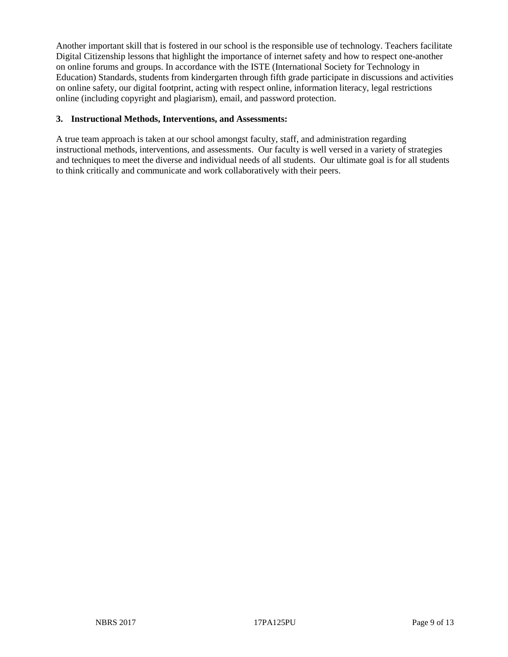Another important skill that is fostered in our school is the responsible use of technology. Teachers facilitate Digital Citizenship lessons that highlight the importance of internet safety and how to respect one-another on online forums and groups. In accordance with the ISTE (International Society for Technology in Education) Standards, students from kindergarten through fifth grade participate in discussions and activities on online safety, our digital footprint, acting with respect online, information literacy, legal restrictions online (including copyright and plagiarism), email, and password protection.

#### **3. Instructional Methods, Interventions, and Assessments:**

A true team approach is taken at our school amongst faculty, staff, and administration regarding instructional methods, interventions, and assessments. Our faculty is well versed in a variety of strategies and techniques to meet the diverse and individual needs of all students. Our ultimate goal is for all students to think critically and communicate and work collaboratively with their peers.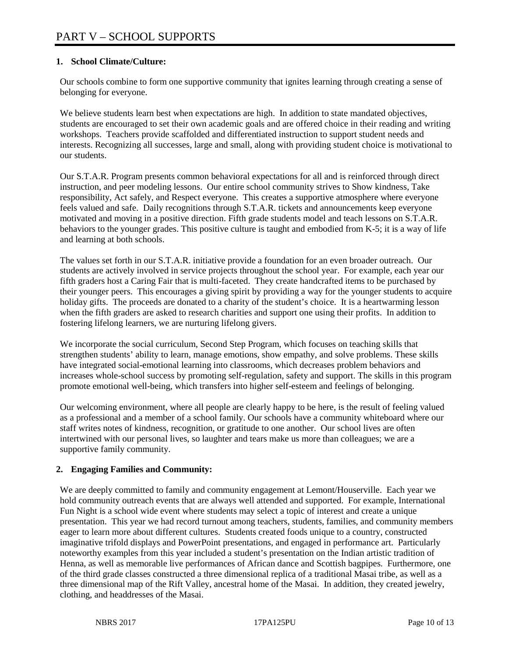## **1. School Climate/Culture:**

Our schools combine to form one supportive community that ignites learning through creating a sense of belonging for everyone.

We believe students learn best when expectations are high. In addition to state mandated objectives, students are encouraged to set their own academic goals and are offered choice in their reading and writing workshops. Teachers provide scaffolded and differentiated instruction to support student needs and interests. Recognizing all successes, large and small, along with providing student choice is motivational to our students.

Our S.T.A.R. Program presents common behavioral expectations for all and is reinforced through direct instruction, and peer modeling lessons. Our entire school community strives to Show kindness, Take responsibility, Act safely, and Respect everyone. This creates a supportive atmosphere where everyone feels valued and safe. Daily recognitions through S.T.A.R. tickets and announcements keep everyone motivated and moving in a positive direction. Fifth grade students model and teach lessons on S.T.A.R. behaviors to the younger grades. This positive culture is taught and embodied from K-5; it is a way of life and learning at both schools.

The values set forth in our S.T.A.R. initiative provide a foundation for an even broader outreach. Our students are actively involved in service projects throughout the school year. For example, each year our fifth graders host a Caring Fair that is multi-faceted. They create handcrafted items to be purchased by their younger peers. This encourages a giving spirit by providing a way for the younger students to acquire holiday gifts. The proceeds are donated to a charity of the student's choice. It is a heartwarming lesson when the fifth graders are asked to research charities and support one using their profits. In addition to fostering lifelong learners, we are nurturing lifelong givers.

We incorporate the social curriculum, Second Step Program, which focuses on teaching skills that strengthen students' ability to learn, manage emotions, show empathy, and solve problems. These skills have integrated social-emotional learning into classrooms, which decreases problem behaviors and increases whole-school success by promoting self-regulation, safety and support. The skills in this program promote emotional well-being, which transfers into higher self-esteem and feelings of belonging.

Our welcoming environment, where all people are clearly happy to be here, is the result of feeling valued as a professional and a member of a school family. Our schools have a community whiteboard where our staff writes notes of kindness, recognition, or gratitude to one another. Our school lives are often intertwined with our personal lives, so laughter and tears make us more than colleagues; we are a supportive family community.

#### **2. Engaging Families and Community:**

We are deeply committed to family and community engagement at Lemont/Houserville. Each year we hold community outreach events that are always well attended and supported. For example, International Fun Night is a school wide event where students may select a topic of interest and create a unique presentation. This year we had record turnout among teachers, students, families, and community members eager to learn more about different cultures. Students created foods unique to a country, constructed imaginative trifold displays and PowerPoint presentations, and engaged in performance art. Particularly noteworthy examples from this year included a student's presentation on the Indian artistic tradition of Henna, as well as memorable live performances of African dance and Scottish bagpipes. Furthermore, one of the third grade classes constructed a three dimensional replica of a traditional Masai tribe, as well as a three dimensional map of the Rift Valley, ancestral home of the Masai. In addition, they created jewelry, clothing, and headdresses of the Masai.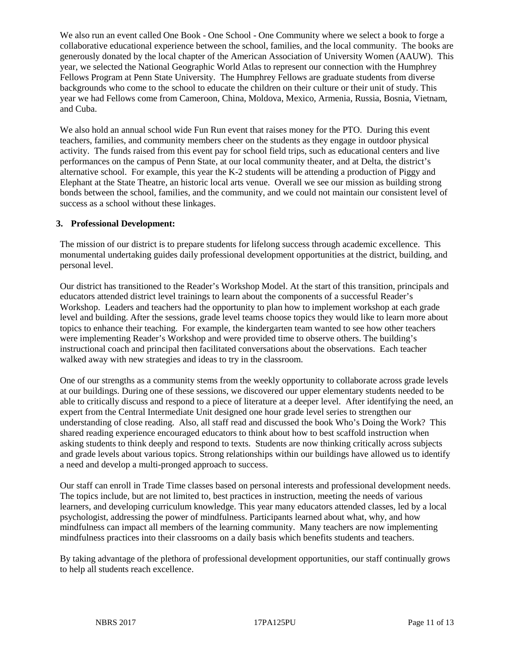We also run an event called One Book - One School - One Community where we select a book to forge a collaborative educational experience between the school, families, and the local community. The books are generously donated by the local chapter of the American Association of University Women (AAUW). This year, we selected the National Geographic World Atlas to represent our connection with the Humphrey Fellows Program at Penn State University. The Humphrey Fellows are graduate students from diverse backgrounds who come to the school to educate the children on their culture or their unit of study. This year we had Fellows come from Cameroon, China, Moldova, Mexico, Armenia, Russia, Bosnia, Vietnam, and Cuba.

We also hold an annual school wide Fun Run event that raises money for the PTO. During this event teachers, families, and community members cheer on the students as they engage in outdoor physical activity. The funds raised from this event pay for school field trips, such as educational centers and live performances on the campus of Penn State, at our local community theater, and at Delta, the district's alternative school. For example, this year the K-2 students will be attending a production of Piggy and Elephant at the State Theatre, an historic local arts venue. Overall we see our mission as building strong bonds between the school, families, and the community, and we could not maintain our consistent level of success as a school without these linkages.

#### **3. Professional Development:**

The mission of our district is to prepare students for lifelong success through academic excellence. This monumental undertaking guides daily professional development opportunities at the district, building, and personal level.

Our district has transitioned to the Reader's Workshop Model. At the start of this transition, principals and educators attended district level trainings to learn about the components of a successful Reader's Workshop. Leaders and teachers had the opportunity to plan how to implement workshop at each grade level and building. After the sessions, grade level teams choose topics they would like to learn more about topics to enhance their teaching. For example, the kindergarten team wanted to see how other teachers were implementing Reader's Workshop and were provided time to observe others. The building's instructional coach and principal then facilitated conversations about the observations. Each teacher walked away with new strategies and ideas to try in the classroom.

One of our strengths as a community stems from the weekly opportunity to collaborate across grade levels at our buildings. During one of these sessions, we discovered our upper elementary students needed to be able to critically discuss and respond to a piece of literature at a deeper level. After identifying the need, an expert from the Central Intermediate Unit designed one hour grade level series to strengthen our understanding of close reading. Also, all staff read and discussed the book Who's Doing the Work? This shared reading experience encouraged educators to think about how to best scaffold instruction when asking students to think deeply and respond to texts. Students are now thinking critically across subjects and grade levels about various topics. Strong relationships within our buildings have allowed us to identify a need and develop a multi-pronged approach to success.

Our staff can enroll in Trade Time classes based on personal interests and professional development needs. The topics include, but are not limited to, best practices in instruction, meeting the needs of various learners, and developing curriculum knowledge. This year many educators attended classes, led by a local psychologist, addressing the power of mindfulness. Participants learned about what, why, and how mindfulness can impact all members of the learning community. Many teachers are now implementing mindfulness practices into their classrooms on a daily basis which benefits students and teachers.

By taking advantage of the plethora of professional development opportunities, our staff continually grows to help all students reach excellence.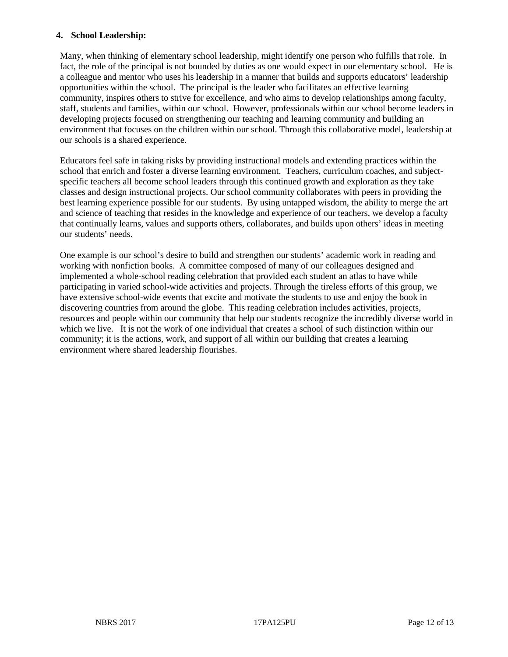#### **4. School Leadership:**

Many, when thinking of elementary school leadership, might identify one person who fulfills that role. In fact, the role of the principal is not bounded by duties as one would expect in our elementary school. He is a colleague and mentor who uses his leadership in a manner that builds and supports educators' leadership opportunities within the school. The principal is the leader who facilitates an effective learning community, inspires others to strive for excellence, and who aims to develop relationships among faculty, staff, students and families, within our school. However, professionals within our school become leaders in developing projects focused on strengthening our teaching and learning community and building an environment that focuses on the children within our school. Through this collaborative model, leadership at our schools is a shared experience.

Educators feel safe in taking risks by providing instructional models and extending practices within the school that enrich and foster a diverse learning environment. Teachers, curriculum coaches, and subjectspecific teachers all become school leaders through this continued growth and exploration as they take classes and design instructional projects. Our school community collaborates with peers in providing the best learning experience possible for our students. By using untapped wisdom, the ability to merge the art and science of teaching that resides in the knowledge and experience of our teachers, we develop a faculty that continually learns, values and supports others, collaborates, and builds upon others' ideas in meeting our students' needs.

One example is our school's desire to build and strengthen our students' academic work in reading and working with nonfiction books. A committee composed of many of our colleagues designed and implemented a whole-school reading celebration that provided each student an atlas to have while participating in varied school-wide activities and projects. Through the tireless efforts of this group, we have extensive school-wide events that excite and motivate the students to use and enjoy the book in discovering countries from around the globe. This reading celebration includes activities, projects, resources and people within our community that help our students recognize the incredibly diverse world in which we live. It is not the work of one individual that creates a school of such distinction within our community; it is the actions, work, and support of all within our building that creates a learning environment where shared leadership flourishes.